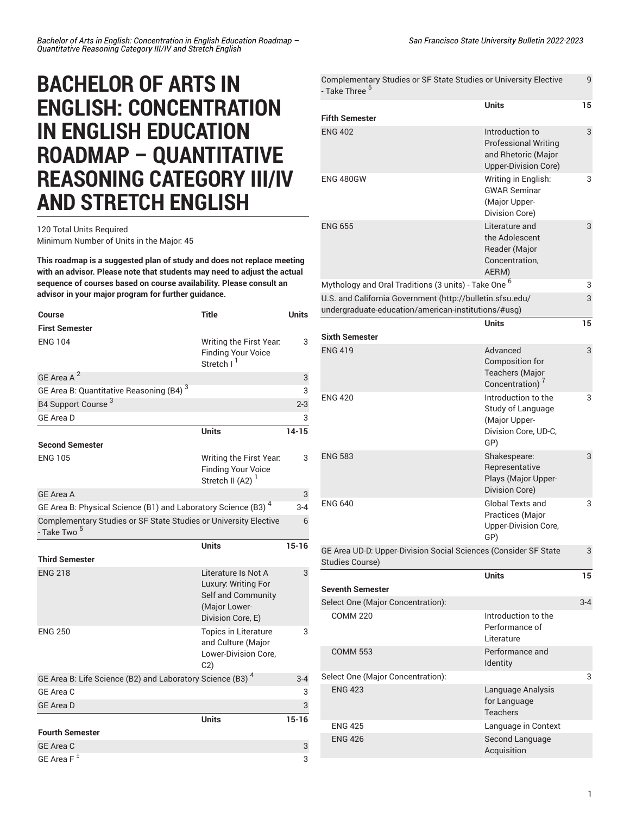## **BACHELOR OF ARTS IN ENGLISH: CONCENTRATION IN ENGLISH EDUCATION ROADMAP – QUANTITATIVE REASONING CATEGORY III/IV AND STRETCH ENGLISH**

## 120 Total Units Required Minimum Number of Units in the Major: 45

**This roadmap is a suggested plan of study and does not replace meeting with an advisor. Please note that students may need to adjust the actual sequence of courses based on course availability. Please consult an advisor in your major program for further guidance.**

| <b>Course</b>                                                                               | <b>Title</b>                                                                                           | <b>Units</b> |
|---------------------------------------------------------------------------------------------|--------------------------------------------------------------------------------------------------------|--------------|
| <b>First Semester</b>                                                                       |                                                                                                        |              |
| <b>ENG 104</b>                                                                              | Writing the First Year.<br><b>Finding Your Voice</b><br>Stretch I <sup>1</sup>                         | 3            |
| GE Area A <sup>2</sup>                                                                      |                                                                                                        | 3            |
| GE Area B: Quantitative Reasoning (B4) <sup>3</sup>                                         |                                                                                                        | 3            |
| B4 Support Course <sup>3</sup>                                                              |                                                                                                        | $2 - 3$      |
| <b>GE Area D</b>                                                                            |                                                                                                        | 3            |
|                                                                                             | <b>Units</b>                                                                                           | $14 - 15$    |
| <b>Second Semester</b>                                                                      |                                                                                                        |              |
| <b>ENG 105</b>                                                                              | Writing the First Year.<br><b>Finding Your Voice</b><br>Stretch II (A2)                                | 3            |
| <b>GE Area A</b>                                                                            |                                                                                                        | 3            |
| GE Area B: Physical Science (B1) and Laboratory Science (B3) <sup>4</sup>                   |                                                                                                        | $3 - 4$      |
| Complementary Studies or SF State Studies or University Elective<br>- Take Two <sup>5</sup> |                                                                                                        | 6            |
|                                                                                             |                                                                                                        |              |
|                                                                                             | <b>Units</b>                                                                                           | $15 - 16$    |
| <b>Third Semester</b>                                                                       |                                                                                                        |              |
| <b>ENG 218</b>                                                                              | Literature Is Not A<br>Luxury: Writing For<br>Self and Community<br>(Major Lower-<br>Division Core, E) | 3            |
| <b>ENG 250</b>                                                                              | Topics in Literature<br>and Culture (Major<br>Lower-Division Core,<br>C <sub>2</sub>                   | 3            |
| GE Area B: Life Science (B2) and Laboratory Science (B3) <sup>4</sup>                       |                                                                                                        | $3 - 4$      |
| GE Area C                                                                                   |                                                                                                        | 3            |
| <b>GE Area D</b>                                                                            |                                                                                                        | 3            |
|                                                                                             | <b>Units</b>                                                                                           | $15 - 16$    |
| <b>Fourth Semester</b>                                                                      |                                                                                                        |              |
| <b>GE Area C</b>                                                                            |                                                                                                        | 3            |

| Complementary Studies or SF State Studies or University Elective<br>- Take Three <sup>5</sup>                    |                                                                                               |     |
|------------------------------------------------------------------------------------------------------------------|-----------------------------------------------------------------------------------------------|-----|
|                                                                                                                  | <b>Units</b>                                                                                  | 15  |
| <b>Fifth Semester</b>                                                                                            |                                                                                               |     |
| <b>ENG 402</b>                                                                                                   | Introduction to<br><b>Professional Writing</b><br>and Rhetoric (Major<br>Upper-Division Core) | 3   |
| <b>ENG 480GW</b>                                                                                                 | Writing in English:<br><b>GWAR Seminar</b><br>(Major Upper-<br>Division Core)                 | 3   |
| <b>ENG 655</b>                                                                                                   | Literature and<br>the Adolescent<br>Reader (Major<br>Concentration,<br>AERM)                  | 3   |
| Mythology and Oral Traditions (3 units) - Take One <sup>6</sup>                                                  |                                                                                               | 3   |
| U.S. and California Government (http://bulletin.sfsu.edu/<br>undergraduate-education/american-institutions/#usg) |                                                                                               | 3   |
|                                                                                                                  | <b>Units</b>                                                                                  | 15  |
| <b>Sixth Semester</b>                                                                                            |                                                                                               |     |
| <b>ENG 419</b>                                                                                                   | Advanced<br>Composition for<br><b>Teachers (Major</b><br>Concentration) <sup>7</sup>          | 3   |
| <b>ENG 420</b>                                                                                                   | Introduction to the<br>Study of Language<br>(Major Upper-<br>Division Core, UD-C,<br>GP)      | 3   |
| <b>ENG 583</b>                                                                                                   | Shakespeare:<br>Representative<br>Plays (Major Upper-<br>Division Core)                       | 3   |
| <b>ENG 640</b>                                                                                                   | <b>Global Texts and</b><br>Practices (Major<br><b>Upper-Division Core,</b><br>GP)             | 3   |
| GE Area UD-D: Upper-Division Social Sciences (Consider SF State<br><b>Studies Course)</b>                        |                                                                                               |     |
|                                                                                                                  | <b>Units</b>                                                                                  | 15  |
| <b>Seventh Semester</b>                                                                                          |                                                                                               |     |
| Select One (Major Concentration):                                                                                |                                                                                               | 3-4 |
| <b>COMM 220</b>                                                                                                  | Introduction to the<br>Performance of<br>Literature                                           |     |
| <b>COMM 553</b>                                                                                                  | Performance and<br>Identity                                                                   |     |
| Select One (Major Concentration):                                                                                |                                                                                               | 3   |
| <b>ENG 423</b>                                                                                                   | Language Analysis<br>for Language<br><b>Teachers</b>                                          |     |
| <b>ENG 425</b>                                                                                                   | Language in Context                                                                           |     |
| <b>ENG 426</b>                                                                                                   | Second Language<br>Acquisition                                                                |     |